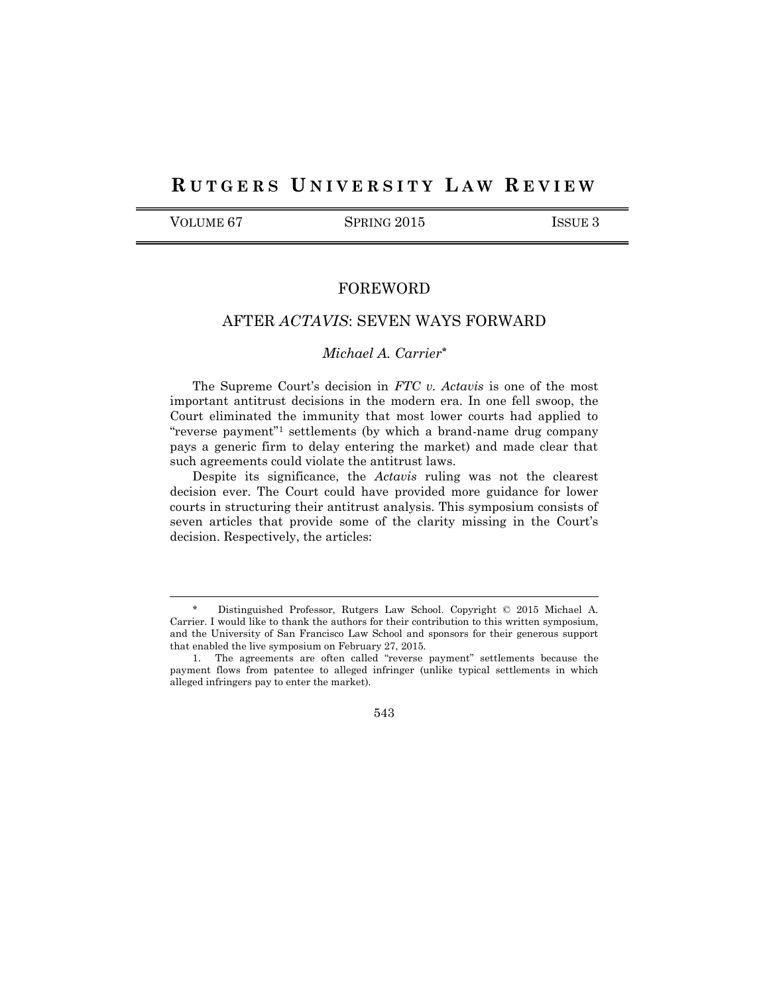# **R U T G E R S U N I V E R S I T Y L A W R E V I E W**

l

VOLUME 67 SPRING 2015 ISSUE 3

# FOREWORD

# AFTER *ACTAVIS*: SEVEN WAYS FORWARD

# *Michael A. Carrier\**

The Supreme Court's decision in *FTC v. Actavis* is one of the most important antitrust decisions in the modern era. In one fell swoop, the Court eliminated the immunity that most lower courts had applied to "reverse payment"<sup>1</sup> settlements (by which a brand-name drug company pays a generic firm to delay entering the market) and made clear that such agreements could violate the antitrust laws.

Despite its significance, the *Actavis* ruling was not the clearest decision ever. The Court could have provided more guidance for lower courts in structuring their antitrust analysis. This symposium consists of seven articles that provide some of the clarity missing in the Court's decision. Respectively, the articles:

543

<sup>\*</sup> Distinguished Professor, Rutgers Law School. Copyright © 2015 Michael A. Carrier. I would like to thank the authors for their contribution to this written symposium, and the University of San Francisco Law School and sponsors for their generous support that enabled the live symposium on February 27, 2015.

<sup>1.</sup> The agreements are often called "reverse payment" settlements because the payment flows from patentee to alleged infringer (unlike typical settlements in which alleged infringers pay to enter the market).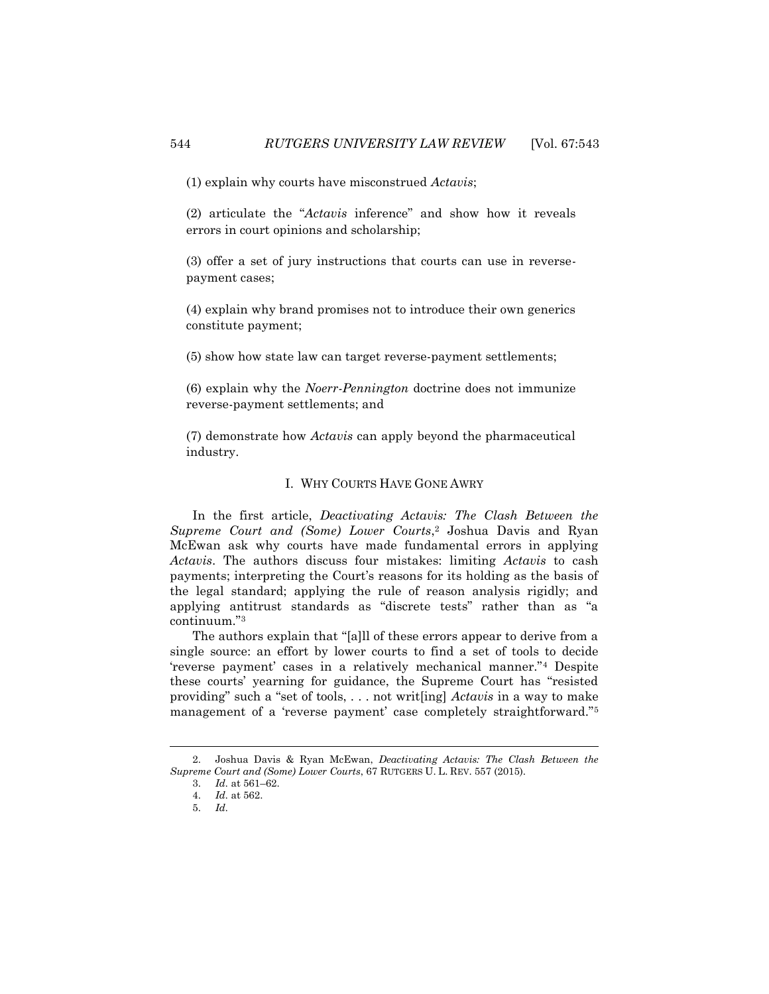(1) explain why courts have misconstrued *Actavis*;

(2) articulate the "*Actavis* inference" and show how it reveals errors in court opinions and scholarship;

(3) offer a set of jury instructions that courts can use in reversepayment cases;

(4) explain why brand promises not to introduce their own generics constitute payment;

(5) show how state law can target reverse-payment settlements;

(6) explain why the *Noerr-Pennington* doctrine does not immunize reverse-payment settlements; and

(7) demonstrate how *Actavis* can apply beyond the pharmaceutical industry.

### I. WHY COURTS HAVE GONE AWRY

In the first article, *Deactivating Actavis: The Clash Between the Supreme Court and (Some) Lower Courts*, <sup>2</sup> Joshua Davis and Ryan McEwan ask why courts have made fundamental errors in applying *Actavis*. The authors discuss four mistakes: limiting *Actavis* to cash payments; interpreting the Court's reasons for its holding as the basis of the legal standard; applying the rule of reason analysis rigidly; and applying antitrust standards as "discrete tests" rather than as "a continuum."<sup>3</sup>

The authors explain that "[a]ll of these errors appear to derive from a single source: an effort by lower courts to find a set of tools to decide 'reverse payment' cases in a relatively mechanical manner."<sup>4</sup> Despite these courts' yearning for guidance, the Supreme Court has "resisted providing" such a "set of tools, . . . not writ[ing] *Actavis* in a way to make management of a 'reverse payment' case completely straightforward."<sup>5</sup>

<sup>2.</sup> Joshua Davis & Ryan McEwan, *Deactivating Actavis: The Clash Between the Supreme Court and (Some) Lower Courts*, 67 RUTGERS U. L. REV. 557 (2015).

<sup>3.</sup> *Id.* at 561–62.

<sup>4.</sup> *Id.* at 562.

<sup>5.</sup> *Id.*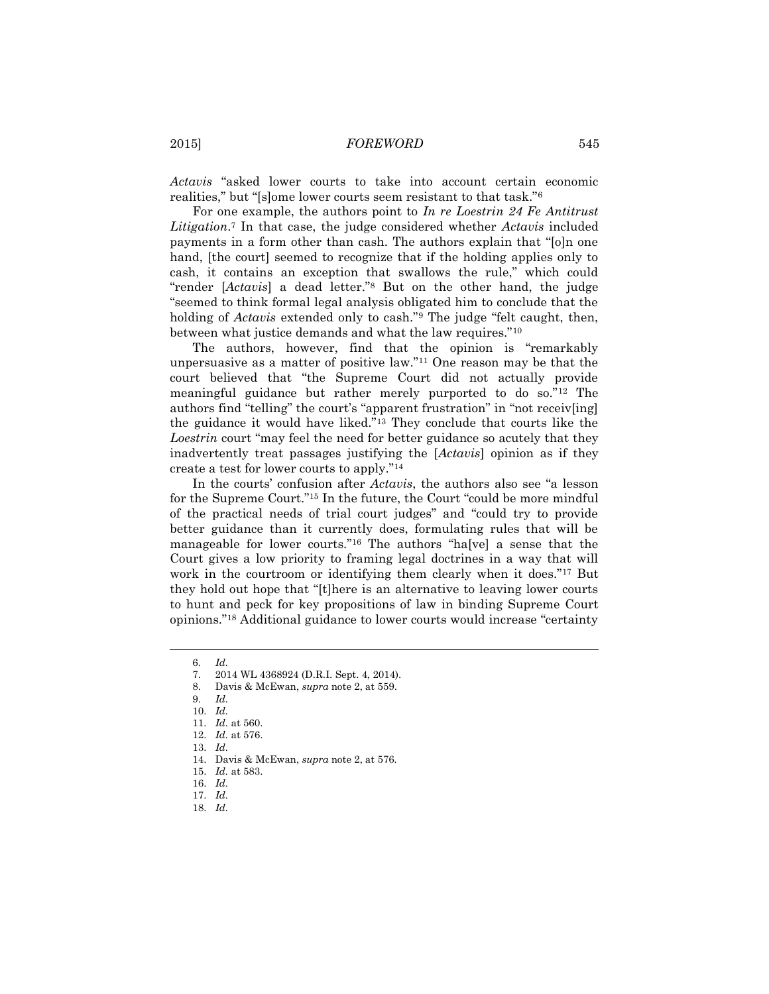*Actavis* "asked lower courts to take into account certain economic realities," but "[s]ome lower courts seem resistant to that task."<sup>6</sup>

For one example, the authors point to *In re Loestrin 24 Fe Antitrust Litigation*. <sup>7</sup> In that case, the judge considered whether *Actavis* included payments in a form other than cash. The authors explain that "[o]n one hand, [the court] seemed to recognize that if the holding applies only to cash, it contains an exception that swallows the rule," which could "render [*Actavis*] a dead letter."<sup>8</sup> But on the other hand, the judge "seemed to think formal legal analysis obligated him to conclude that the holding of *Actavis* extended only to cash."<sup>9</sup> The judge "felt caught, then, between what justice demands and what the law requires."<sup>10</sup>

The authors, however, find that the opinion is "remarkably unpersuasive as a matter of positive law."<sup>11</sup> One reason may be that the court believed that "the Supreme Court did not actually provide meaningful guidance but rather merely purported to do so."<sup>12</sup> The authors find "telling" the court's "apparent frustration" in "not receiv[ing] the guidance it would have liked."<sup>13</sup> They conclude that courts like the *Loestrin* court "may feel the need for better guidance so acutely that they inadvertently treat passages justifying the [*Actavis*] opinion as if they create a test for lower courts to apply."<sup>14</sup>

In the courts' confusion after *Actavis*, the authors also see "a lesson for the Supreme Court."<sup>15</sup> In the future, the Court "could be more mindful of the practical needs of trial court judges" and "could try to provide better guidance than it currently does, formulating rules that will be manageable for lower courts."<sup>16</sup> The authors "ha[ve] a sense that the Court gives a low priority to framing legal doctrines in a way that will work in the courtroom or identifying them clearly when it does."<sup>17</sup> But they hold out hope that "[t]here is an alternative to leaving lower courts to hunt and peck for key propositions of law in binding Supreme Court opinions."<sup>18</sup> Additional guidance to lower courts would increase "certainty

l

18. *Id.*

<sup>6.</sup> *Id.*

<sup>7.</sup> 2014 WL 4368924 (D.R.I. Sept. 4, 2014).

<sup>8.</sup> Davis & McEwan, *supra* note 2, at 559.

<sup>9.</sup> *Id.*

<sup>10.</sup> *Id.*

<sup>11.</sup> *Id.* at 560.

<sup>12.</sup> *Id.* at 576.

<sup>13.</sup> *Id.*

<sup>14.</sup> Davis & McEwan, *supra* note 2, at 576*.*

<sup>15.</sup> *Id.* at 583.

<sup>16.</sup> *Id.*

<sup>17.</sup> *Id.*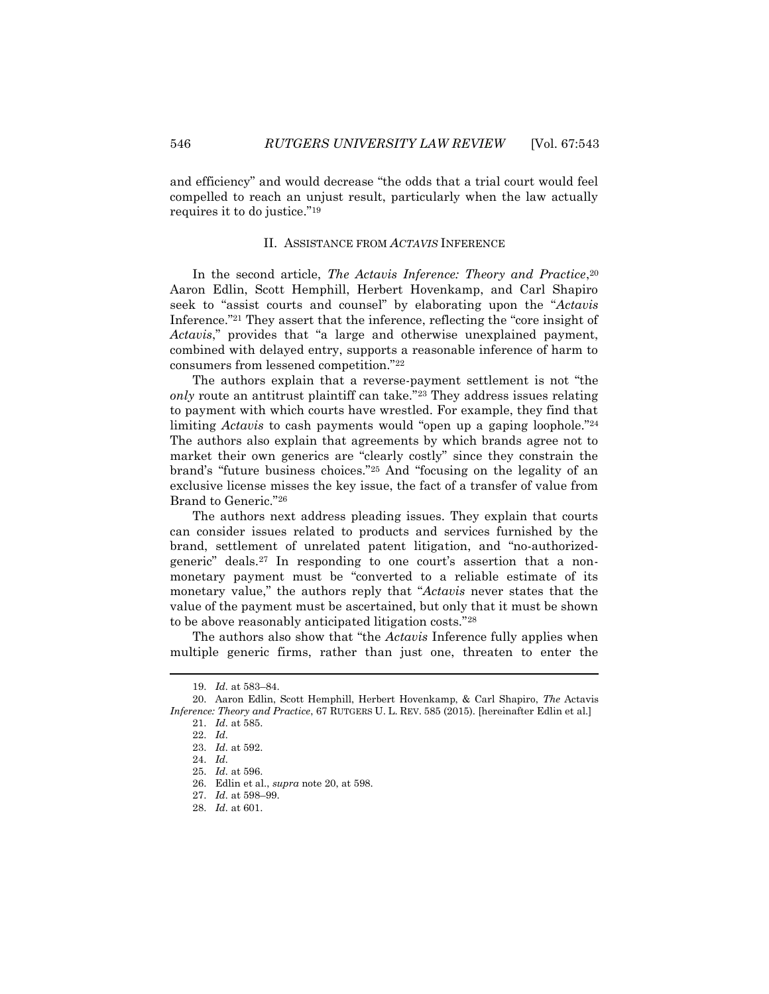and efficiency" and would decrease "the odds that a trial court would feel compelled to reach an unjust result, particularly when the law actually requires it to do justice."<sup>19</sup>

### II. ASSISTANCE FROM *ACTAVIS* INFERENCE

In the second article, *The Actavis Inference: Theory and Practice*, 20 Aaron Edlin, Scott Hemphill, Herbert Hovenkamp, and Carl Shapiro seek to "assist courts and counsel" by elaborating upon the "*Actavis* Inference."<sup>21</sup> They assert that the inference, reflecting the "core insight of *Actavis*," provides that "a large and otherwise unexplained payment, combined with delayed entry, supports a reasonable inference of harm to consumers from lessened competition."<sup>22</sup>

The authors explain that a reverse-payment settlement is not "the *only* route an antitrust plaintiff can take."<sup>23</sup> They address issues relating to payment with which courts have wrestled. For example, they find that limiting *Actavis* to cash payments would "open up a gaping loophole."<sup>24</sup> The authors also explain that agreements by which brands agree not to market their own generics are "clearly costly" since they constrain the brand's "future business choices."<sup>25</sup> And "focusing on the legality of an exclusive license misses the key issue, the fact of a transfer of value from Brand to Generic."<sup>26</sup>

The authors next address pleading issues. They explain that courts can consider issues related to products and services furnished by the brand, settlement of unrelated patent litigation, and "no-authorizedgeneric" deals.<sup>27</sup> In responding to one court's assertion that a nonmonetary payment must be "converted to a reliable estimate of its monetary value," the authors reply that "*Actavis* never states that the value of the payment must be ascertained, but only that it must be shown to be above reasonably anticipated litigation costs."<sup>28</sup>

The authors also show that "the *Actavis* Inference fully applies when multiple generic firms, rather than just one, threaten to enter the

<sup>19.</sup> *Id.* at 583–84.

<sup>20.</sup> Aaron Edlin, Scott Hemphill, Herbert Hovenkamp, & Carl Shapiro, *The* Actavis *Inference: Theory and Practice*, 67 RUTGERS U. L. REV. 585 (2015). [hereinafter Edlin et al.]

<sup>21.</sup> *Id.* at 585.

<sup>22.</sup> *Id.*

<sup>23.</sup> *Id.* at 592.

<sup>24.</sup> *Id.*

<sup>25.</sup> *Id.* at 596.

<sup>26.</sup> Edlin et al., *supra* note 20, at 598.

<sup>27.</sup> *Id.* at 598–99.

<sup>28.</sup> *Id.* at 601.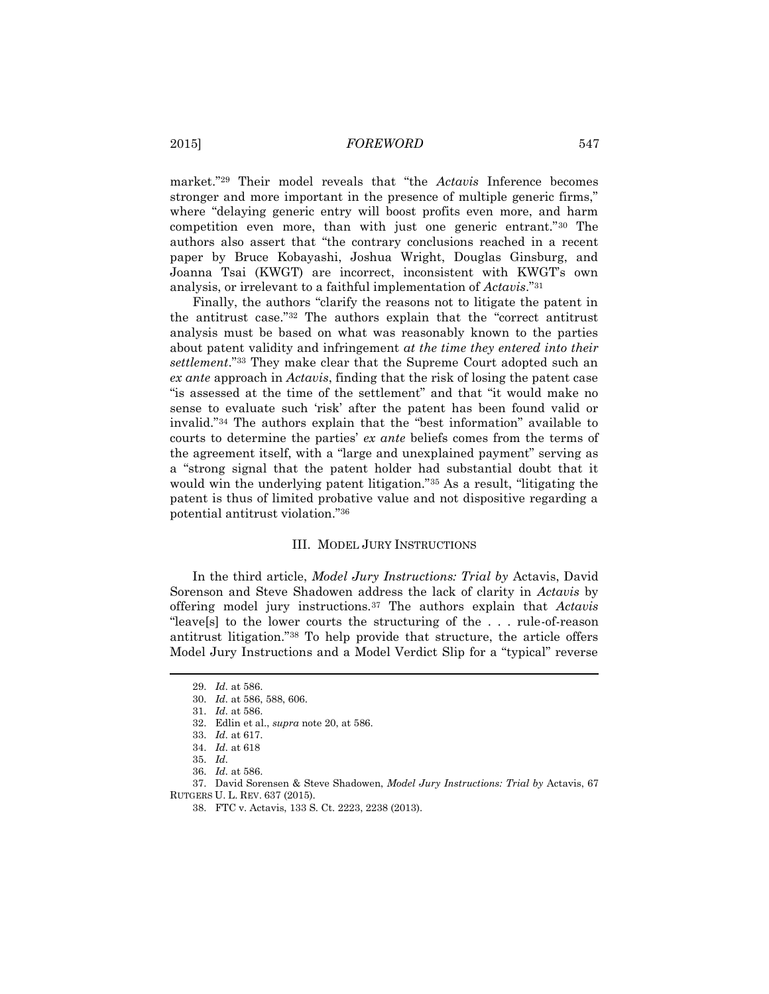market."<sup>29</sup> Their model reveals that "the *Actavis* Inference becomes stronger and more important in the presence of multiple generic firms," where "delaying generic entry will boost profits even more, and harm competition even more, than with just one generic entrant."<sup>30</sup> The authors also assert that "the contrary conclusions reached in a recent paper by Bruce Kobayashi, Joshua Wright, Douglas Ginsburg, and Joanna Tsai (KWGT) are incorrect, inconsistent with KWGT's own analysis, or irrelevant to a faithful implementation of *Actavis*."<sup>31</sup>

Finally, the authors "clarify the reasons not to litigate the patent in the antitrust case."<sup>32</sup> The authors explain that the "correct antitrust analysis must be based on what was reasonably known to the parties about patent validity and infringement *at the time they entered into their settlement*."<sup>33</sup> They make clear that the Supreme Court adopted such an *ex ante* approach in *Actavis*, finding that the risk of losing the patent case "is assessed at the time of the settlement" and that "it would make no sense to evaluate such 'risk' after the patent has been found valid or invalid."<sup>34</sup> The authors explain that the "best information" available to courts to determine the parties' *ex ante* beliefs comes from the terms of the agreement itself, with a "large and unexplained payment" serving as a "strong signal that the patent holder had substantial doubt that it would win the underlying patent litigation."<sup>35</sup> As a result, "litigating the patent is thus of limited probative value and not dispositive regarding a potential antitrust violation."<sup>36</sup>

### III. MODEL JURY INSTRUCTIONS

In the third article, *Model Jury Instructions: Trial by* Actavis, David Sorenson and Steve Shadowen address the lack of clarity in *Actavis* by offering model jury instructions.<sup>37</sup> The authors explain that *Actavis* "leave[s] to the lower courts the structuring of the . . . rule-of-reason antitrust litigation."<sup>38</sup> To help provide that structure, the article offers Model Jury Instructions and a Model Verdict Slip for a "typical" reverse

l

32. Edlin et al., *supra* note 20, at 586.

<sup>29.</sup> *Id.* at 586.

<sup>30.</sup> *Id.* at 586, 588, 606.

<sup>31.</sup> *Id.* at 586.

<sup>33.</sup> *Id.* at 617.

<sup>34.</sup> *Id.* at 618

<sup>35.</sup> *Id.*

<sup>36.</sup> *Id.* at 586.

<sup>37.</sup> David Sorensen & Steve Shadowen, *Model Jury Instructions: Trial by* Actavis, 67 RUTGERS U. L. REV. 637 (2015).

<sup>38.</sup> FTC v. Actavis, 133 S. Ct. 2223, 2238 (2013).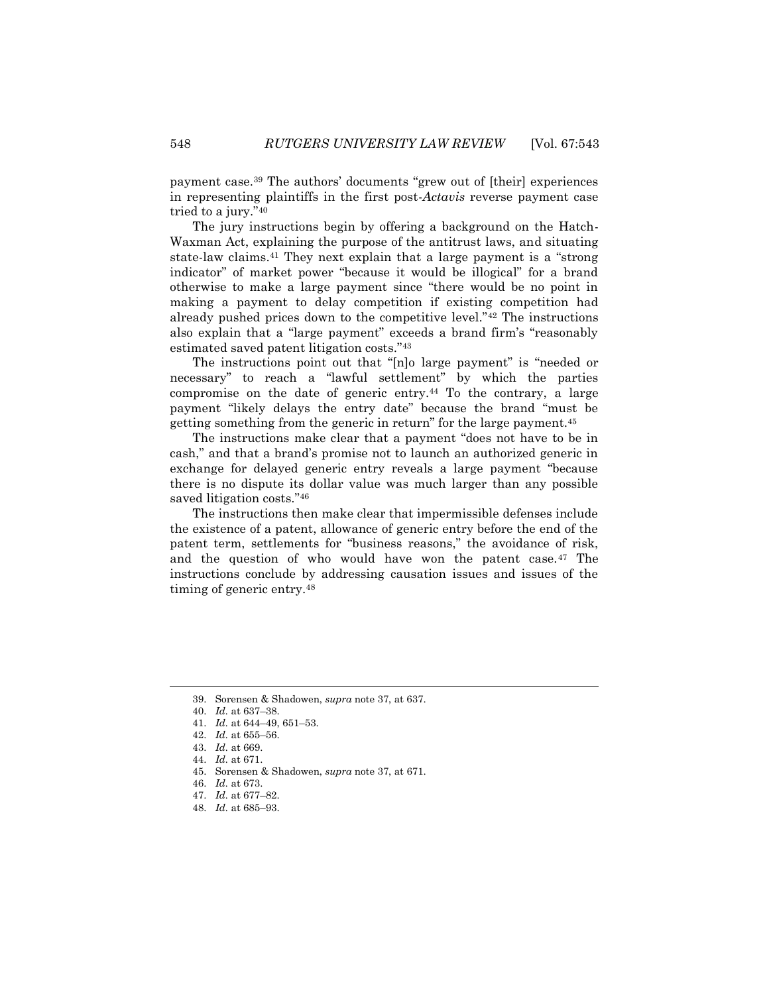payment case.<sup>39</sup> The authors' documents "grew out of [their] experiences in representing plaintiffs in the first post-*Actavis* reverse payment case tried to a jury."<sup>40</sup>

The jury instructions begin by offering a background on the Hatch-Waxman Act, explaining the purpose of the antitrust laws, and situating state-law claims.<sup>41</sup> They next explain that a large payment is a "strong indicator" of market power "because it would be illogical" for a brand otherwise to make a large payment since "there would be no point in making a payment to delay competition if existing competition had already pushed prices down to the competitive level."<sup>42</sup> The instructions also explain that a "large payment" exceeds a brand firm's "reasonably estimated saved patent litigation costs."<sup>43</sup>

The instructions point out that "[n]o large payment" is "needed or necessary" to reach a "lawful settlement" by which the parties compromise on the date of generic entry.<sup>44</sup> To the contrary, a large payment "likely delays the entry date" because the brand "must be getting something from the generic in return" for the large payment.<sup>45</sup>

The instructions make clear that a payment "does not have to be in cash," and that a brand's promise not to launch an authorized generic in exchange for delayed generic entry reveals a large payment "because there is no dispute its dollar value was much larger than any possible saved litigation costs."<sup>46</sup>

The instructions then make clear that impermissible defenses include the existence of a patent, allowance of generic entry before the end of the patent term, settlements for "business reasons," the avoidance of risk, and the question of who would have won the patent case.<sup>47</sup> The instructions conclude by addressing causation issues and issues of the timing of generic entry.<sup>48</sup>

<sup>39.</sup> Sorensen & Shadowen, *supra* note 37, at 637.

<sup>40.</sup> *Id.* at 637–38.

<sup>41.</sup> *Id.* at 644–49, 651–53.

<sup>42.</sup> *Id.* at 655–56.

<sup>43.</sup> *Id.* at 669.

<sup>44.</sup> *Id.* at 671.

<sup>45.</sup> Sorensen & Shadowen, *supra* note 37, at 671.

<sup>46.</sup> *Id.* at 673.

<sup>47.</sup> *Id.* at 677–82.

<sup>48.</sup> *Id.* at 685–93.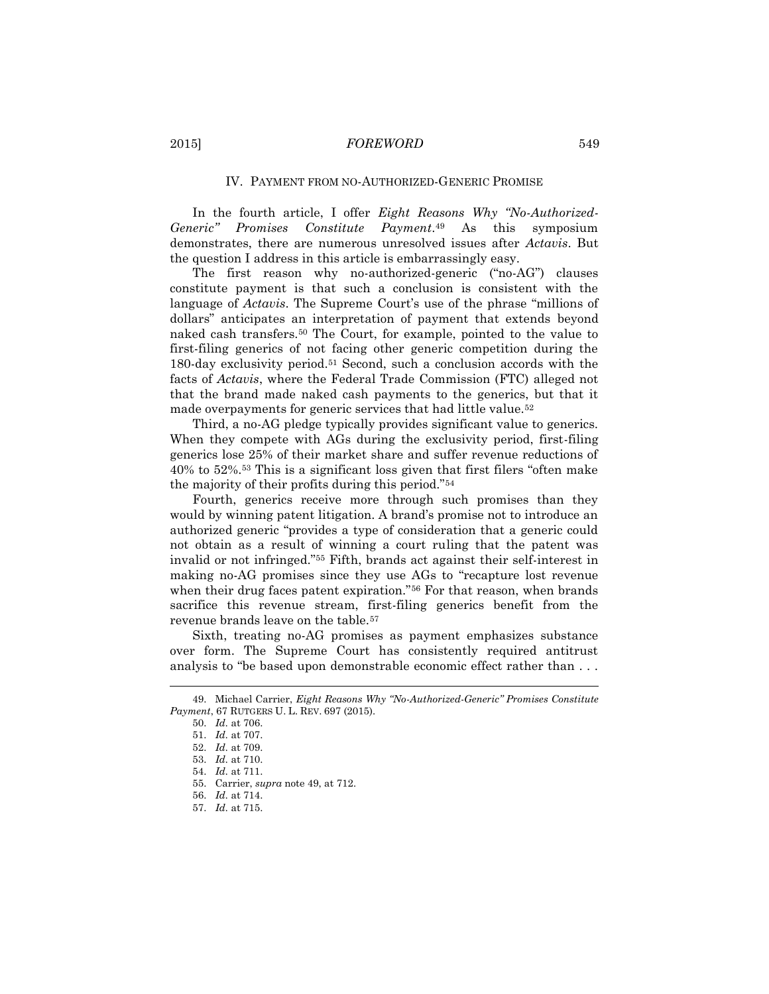#### IV. PAYMENT FROM NO-AUTHORIZED-GENERIC PROMISE

In the fourth article, I offer *Eight Reasons Why "No-Authorized-Generic" Promises Constitute Payment*. <sup>49</sup> As this symposium demonstrates, there are numerous unresolved issues after *Actavis*. But the question I address in this article is embarrassingly easy.

The first reason why no-authorized-generic ("no-AG") clauses constitute payment is that such a conclusion is consistent with the language of *Actavis*. The Supreme Court's use of the phrase "millions of dollars" anticipates an interpretation of payment that extends beyond naked cash transfers.<sup>50</sup> The Court, for example, pointed to the value to first-filing generics of not facing other generic competition during the 180-day exclusivity period.<sup>51</sup> Second, such a conclusion accords with the facts of *Actavis*, where the Federal Trade Commission (FTC) alleged not that the brand made naked cash payments to the generics, but that it made overpayments for generic services that had little value.<sup>52</sup>

Third, a no-AG pledge typically provides significant value to generics. When they compete with AGs during the exclusivity period, first-filing generics lose 25% of their market share and suffer revenue reductions of 40% to 52%.<sup>53</sup> This is a significant loss given that first filers "often make the majority of their profits during this period."<sup>54</sup>

Fourth, generics receive more through such promises than they would by winning patent litigation. A brand's promise not to introduce an authorized generic "provides a type of consideration that a generic could not obtain as a result of winning a court ruling that the patent was invalid or not infringed."<sup>55</sup> Fifth, brands act against their self-interest in making no-AG promises since they use AGs to "recapture lost revenue when their drug faces patent expiration."<sup>56</sup> For that reason, when brands sacrifice this revenue stream, first-filing generics benefit from the revenue brands leave on the table.<sup>57</sup>

Sixth, treating no-AG promises as payment emphasizes substance over form. The Supreme Court has consistently required antitrust analysis to "be based upon demonstrable economic effect rather than . . .

<sup>49.</sup> Michael Carrier, *Eight Reasons Why "No-Authorized-Generic" Promises Constitute Payment*, 67 RUTGERS U. L. REV. 697 (2015).

<sup>50.</sup> *Id.* at 706.

<sup>51.</sup> *Id.* at 707.

<sup>52.</sup> *Id.* at 709.

<sup>53.</sup> *Id.* at 710.

<sup>54.</sup> *Id.* at 711.

<sup>55.</sup> Carrier, *supra* note 49, at 712.

<sup>56.</sup> *Id.* at 714.

<sup>57.</sup> *Id.* at 715.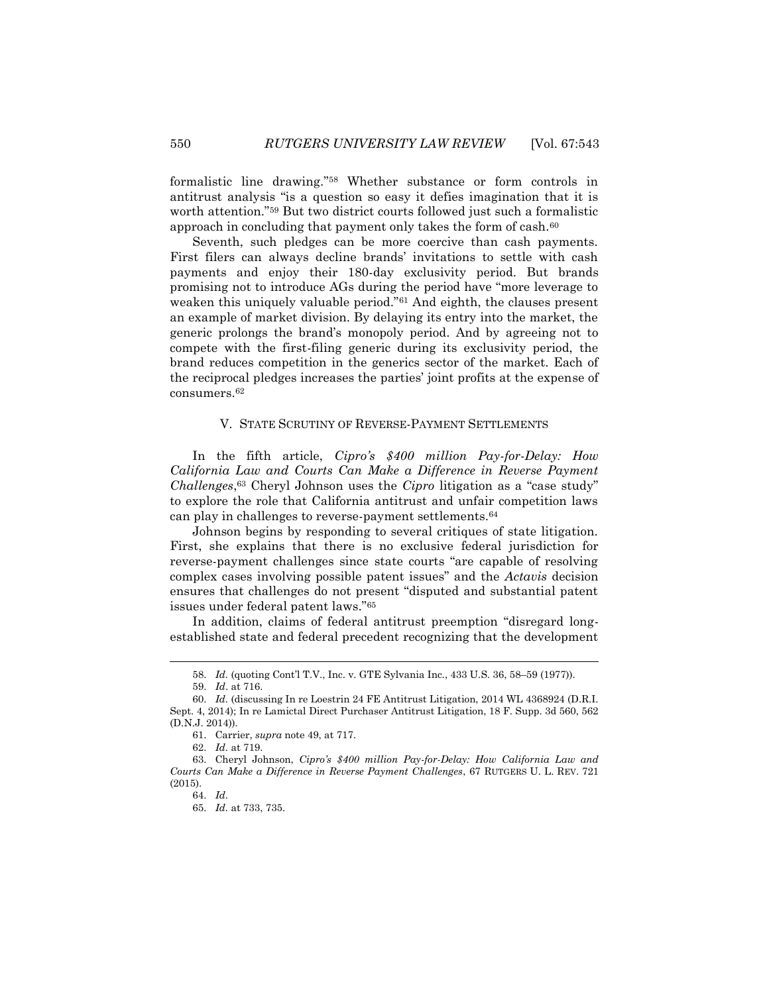formalistic line drawing."<sup>58</sup> Whether substance or form controls in antitrust analysis "is a question so easy it defies imagination that it is worth attention."<sup>59</sup> But two district courts followed just such a formalistic approach in concluding that payment only takes the form of cash.<sup>60</sup>

Seventh, such pledges can be more coercive than cash payments. First filers can always decline brands' invitations to settle with cash payments and enjoy their 180-day exclusivity period. But brands promising not to introduce AGs during the period have "more leverage to weaken this uniquely valuable period."<sup>61</sup> And eighth, the clauses present an example of market division. By delaying its entry into the market, the generic prolongs the brand's monopoly period. And by agreeing not to compete with the first-filing generic during its exclusivity period, the brand reduces competition in the generics sector of the market. Each of the reciprocal pledges increases the parties' joint profits at the expense of consumers.<sup>62</sup>

### V. STATE SCRUTINY OF REVERSE-PAYMENT SETTLEMENTS

In the fifth article, *Cipro's \$400 million Pay-for-Delay: How California Law and Courts Can Make a Difference in Reverse Payment Challenges*, <sup>63</sup> Cheryl Johnson uses the *Cipro* litigation as a "case study" to explore the role that California antitrust and unfair competition laws can play in challenges to reverse-payment settlements.<sup>64</sup>

Johnson begins by responding to several critiques of state litigation. First, she explains that there is no exclusive federal jurisdiction for reverse-payment challenges since state courts "are capable of resolving complex cases involving possible patent issues" and the *Actavis* decision ensures that challenges do not present "disputed and substantial patent issues under federal patent laws."<sup>65</sup>

In addition, claims of federal antitrust preemption "disregard longestablished state and federal precedent recognizing that the development

 $\overline{a}$ 

<sup>58.</sup> *Id.* (quoting Cont'l T.V., Inc. v. GTE Sylvania Inc., 433 U.S. 36, 58–59 (1977)).

<sup>59.</sup> *Id*. at 716.

<sup>60.</sup> *Id.* (discussing In re Loestrin 24 FE Antitrust Litigation, 2014 WL 4368924 (D.R.I. Sept. 4, 2014); In re Lamictal Direct Purchaser Antitrust Litigation, 18 F. Supp. 3d 560, 562 (D.N.J. 2014)).

<sup>61.</sup> Carrier, *supra* note 49, at 717.

<sup>62.</sup> *Id.* at 719.

<sup>63.</sup> Cheryl Johnson, *Cipro's \$400 million Pay-for-Delay: How California Law and Courts Can Make a Difference in Reverse Payment Challenges*, 67 RUTGERS U. L. REV. 721 (2015).

<sup>64.</sup> *Id.*

<sup>65.</sup> *Id.* at 733, 735.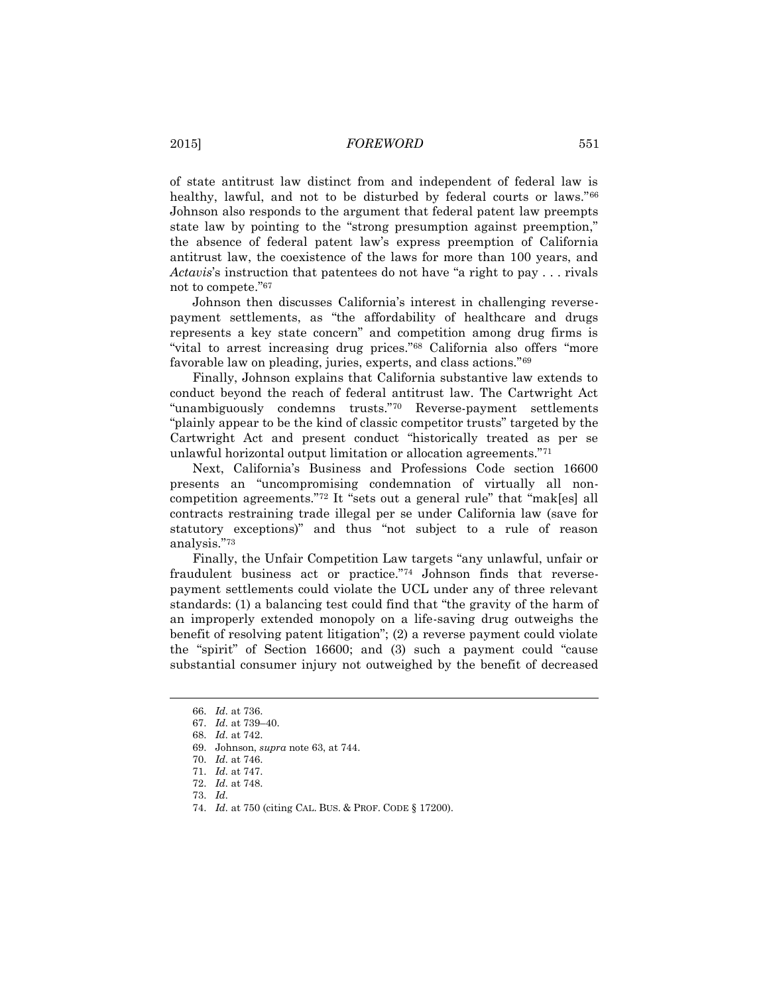of state antitrust law distinct from and independent of federal law is healthy, lawful, and not to be disturbed by federal courts or laws."<sup>66</sup> Johnson also responds to the argument that federal patent law preempts state law by pointing to the "strong presumption against preemption," the absence of federal patent law's express preemption of California antitrust law, the coexistence of the laws for more than 100 years, and *Actavis*'s instruction that patentees do not have "a right to pay . . . rivals not to compete."<sup>67</sup>

Johnson then discusses California's interest in challenging reversepayment settlements, as "the affordability of healthcare and drugs represents a key state concern" and competition among drug firms is "vital to arrest increasing drug prices."<sup>68</sup> California also offers "more favorable law on pleading, juries, experts, and class actions."<sup>69</sup>

Finally, Johnson explains that California substantive law extends to conduct beyond the reach of federal antitrust law. The Cartwright Act "unambiguously condemns trusts."<sup>70</sup> Reverse-payment settlements "plainly appear to be the kind of classic competitor trusts" targeted by the Cartwright Act and present conduct "historically treated as per se unlawful horizontal output limitation or allocation agreements."<sup>71</sup>

Next, California's Business and Professions Code section 16600 presents an "uncompromising condemnation of virtually all noncompetition agreements."<sup>72</sup> It "sets out a general rule" that "mak[es] all contracts restraining trade illegal per se under California law (save for statutory exceptions)" and thus "not subject to a rule of reason analysis."<sup>73</sup>

Finally, the Unfair Competition Law targets "any unlawful, unfair or fraudulent business act or practice."<sup>74</sup> Johnson finds that reversepayment settlements could violate the UCL under any of three relevant standards: (1) a balancing test could find that "the gravity of the harm of an improperly extended monopoly on a life-saving drug outweighs the benefit of resolving patent litigation"; (2) a reverse payment could violate the "spirit" of Section 16600; and (3) such a payment could "cause substantial consumer injury not outweighed by the benefit of decreased

<sup>66.</sup> *Id.* at 736.

<sup>67.</sup> *Id.* at 739–40.

<sup>68.</sup> *Id.* at 742.

<sup>69.</sup> Johnson, *supra* note 63, at 744.

<sup>70.</sup> *Id.* at 746.

<sup>71.</sup> *Id.* at 747.

<sup>72.</sup> *Id.* at 748.

<sup>73.</sup> *Id.*

<sup>74.</sup> *Id.* at 750 (citing CAL. BUS. & PROF. CODE § 17200).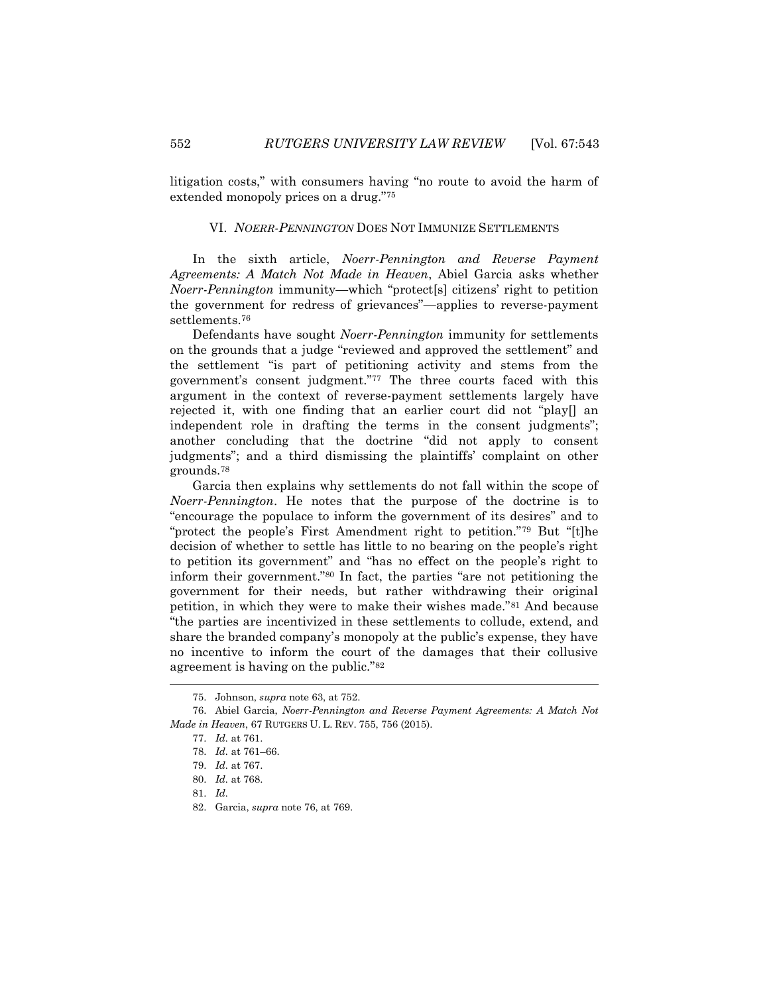litigation costs," with consumers having "no route to avoid the harm of extended monopoly prices on a drug."<sup>75</sup>

#### VI. *NOERR-PENNINGTON* DOES NOT IMMUNIZE SETTLEMENTS

In the sixth article, *Noerr-Pennington and Reverse Payment Agreements: A Match Not Made in Heaven*, Abiel Garcia asks whether *Noerr-Pennington* immunity—which "protect[s] citizens' right to petition the government for redress of grievances"—applies to reverse-payment settlements.<sup>76</sup>

Defendants have sought *Noerr-Pennington* immunity for settlements on the grounds that a judge "reviewed and approved the settlement" and the settlement "is part of petitioning activity and stems from the government's consent judgment."<sup>77</sup> The three courts faced with this argument in the context of reverse-payment settlements largely have rejected it, with one finding that an earlier court did not "play[] an independent role in drafting the terms in the consent judgments"; another concluding that the doctrine "did not apply to consent judgments"; and a third dismissing the plaintiffs' complaint on other grounds.<sup>78</sup>

Garcia then explains why settlements do not fall within the scope of *Noerr-Pennington*. He notes that the purpose of the doctrine is to "encourage the populace to inform the government of its desires" and to "protect the people's First Amendment right to petition."<sup>79</sup> But "[t]he decision of whether to settle has little to no bearing on the people's right to petition its government" and "has no effect on the people's right to inform their government."<sup>80</sup> In fact, the parties "are not petitioning the government for their needs, but rather withdrawing their original petition, in which they were to make their wishes made."<sup>81</sup> And because "the parties are incentivized in these settlements to collude, extend, and share the branded company's monopoly at the public's expense, they have no incentive to inform the court of the damages that their collusive agreement is having on the public."<sup>82</sup>

l

81. *Id.*

<sup>75.</sup> Johnson, *supra* note 63, at 752.

<sup>76.</sup> Abiel Garcia, *Noerr-Pennington and Reverse Payment Agreements: A Match Not Made in Heaven*, 67 RUTGERS U. L. REV. 755, 756 (2015).

<sup>77.</sup> *Id.* at 761.

<sup>78.</sup> *Id.* at 761–66.

<sup>79.</sup> *Id.* at 767.

<sup>80.</sup> *Id.* at 768.

<sup>82.</sup> Garcia, *supra* note 76, at 769.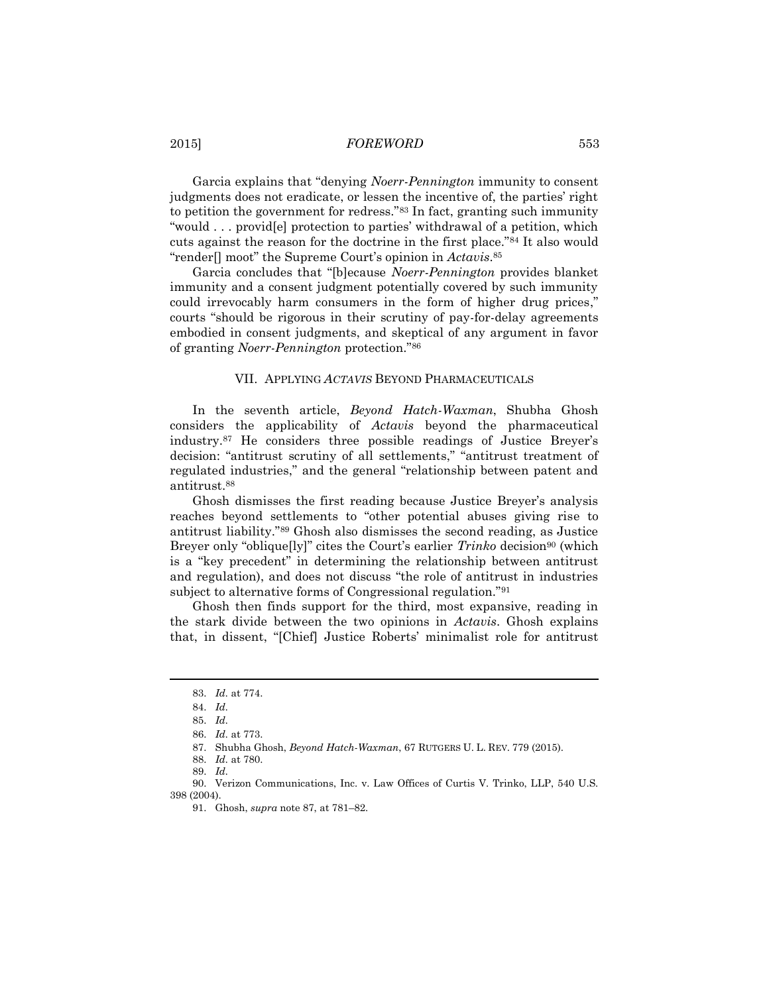Garcia explains that "denying *Noerr-Pennington* immunity to consent judgments does not eradicate, or lessen the incentive of, the parties' right to petition the government for redress."<sup>83</sup> In fact, granting such immunity "would . . . provid[e] protection to parties' withdrawal of a petition, which cuts against the reason for the doctrine in the first place."<sup>84</sup> It also would "render[] moot" the Supreme Court's opinion in *Actavis*. 85

Garcia concludes that "[b]ecause *Noerr-Pennington* provides blanket immunity and a consent judgment potentially covered by such immunity could irrevocably harm consumers in the form of higher drug prices," courts "should be rigorous in their scrutiny of pay-for-delay agreements embodied in consent judgments, and skeptical of any argument in favor of granting *Noerr-Pennington* protection."<sup>86</sup>

### VII. APPLYING *ACTAVIS* BEYOND PHARMACEUTICALS

<span id="page-10-0"></span>In the seventh article, *Beyond Hatch-Waxman*, Shubha Ghosh considers the applicability of *Actavis* beyond the pharmaceutical industry.<sup>87</sup> He considers three possible readings of Justice Breyer's decision: "antitrust scrutiny of all settlements," "antitrust treatment of regulated industries," and the general "relationship between patent and antitrust.<sup>88</sup>

Ghosh dismisses the first reading because Justice Breyer's analysis reaches beyond settlements to "other potential abuses giving rise to antitrust liability."<sup>89</sup> Ghosh also dismisses the second reading, as Justice Breyer only "oblique[ly]" cites the Court's earlier *Trinko* decision<sup>90</sup> (which is a "key precedent" in determining the relationship between antitrust and regulation), and does not discuss "the role of antitrust in industries subject to alternative forms of Congressional regulation."<sup>91</sup>

Ghosh then finds support for the third, most expansive, reading in the stark divide between the two opinions in *Actavis*. Ghosh explains that, in dissent, "[Chief] Justice Roberts' minimalist role for antitrust

<sup>83.</sup> *Id.* at 774.

<sup>84.</sup> *Id.*

<sup>85.</sup> *Id.*

<sup>86.</sup> *Id.* at 773.

<sup>87.</sup> Shubha Ghosh, *Beyond Hatch-Waxman*, 67 RUTGERS U. L. REV. 779 (2015).

<sup>88.</sup> *Id.* at 780.

<sup>89.</sup> *Id.*

<sup>90.</sup> Verizon Communications, Inc. v. Law Offices of Curtis V. Trinko, LLP, 540 U.S. 398 (2004).

<sup>91.</sup> Ghosh, *supra* not[e 87,](#page-10-0) at 781–82.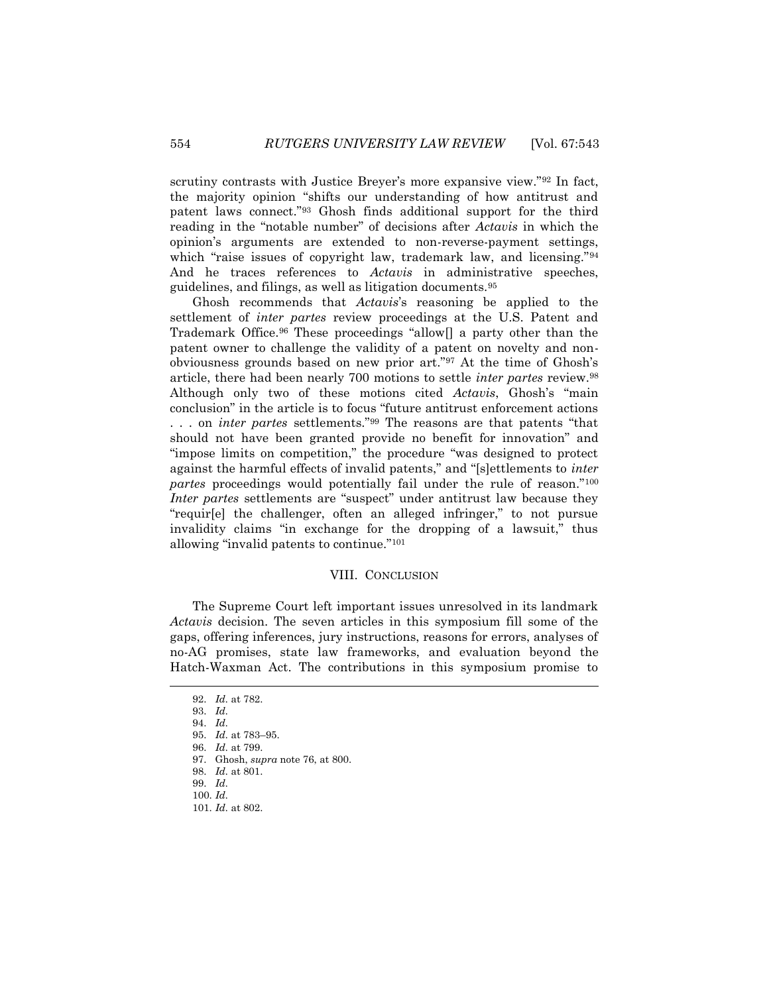scrutiny contrasts with Justice Breyer's more expansive view."<sup>92</sup> In fact, the majority opinion "shifts our understanding of how antitrust and patent laws connect."<sup>93</sup> Ghosh finds additional support for the third reading in the "notable number" of decisions after *Actavis* in which the opinion's arguments are extended to non-reverse-payment settings, which "raise issues of copyright law, trademark law, and licensing."<sup>94</sup> And he traces references to *Actavis* in administrative speeches, guidelines, and filings, as well as litigation documents.<sup>95</sup>

Ghosh recommends that *Actavis*'s reasoning be applied to the settlement of *inter partes* review proceedings at the U.S. Patent and Trademark Office.<sup>96</sup> These proceedings "allow[] a party other than the patent owner to challenge the validity of a patent on novelty and nonobviousness grounds based on new prior art."<sup>97</sup> At the time of Ghosh's article, there had been nearly 700 motions to settle *inter partes* review.<sup>98</sup> Although only two of these motions cited *Actavis*, Ghosh's "main conclusion" in the article is to focus "future antitrust enforcement actions . . . on *inter partes* settlements."<sup>99</sup> The reasons are that patents "that should not have been granted provide no benefit for innovation" and "impose limits on competition," the procedure "was designed to protect against the harmful effects of invalid patents," and "[s]ettlements to *inter partes* proceedings would potentially fail under the rule of reason."<sup>100</sup> *Inter partes* settlements are "suspect" under antitrust law because they "requir[e] the challenger, often an alleged infringer," to not pursue invalidity claims "in exchange for the dropping of a lawsuit," thus allowing "invalid patents to continue."<sup>101</sup>

#### VIII. CONCLUSION

The Supreme Court left important issues unresolved in its landmark *Actavis* decision. The seven articles in this symposium fill some of the gaps, offering inferences, jury instructions, reasons for errors, analyses of no-AG promises, state law frameworks, and evaluation beyond the Hatch-Waxman Act. The contributions in this symposium promise to

l

98. *Id.* at 801.

101. *Id.* at 802.

<sup>92.</sup> *Id.* at 782.

<sup>93.</sup> *Id.*

<sup>94.</sup> *Id.*

<sup>95.</sup> *Id.* at 783–95.

<sup>96.</sup> *Id.* at 799.

<sup>97.</sup> Ghosh, *supra* note 76, at 800.

<sup>99.</sup> *Id.*

<sup>100.</sup> *Id.*